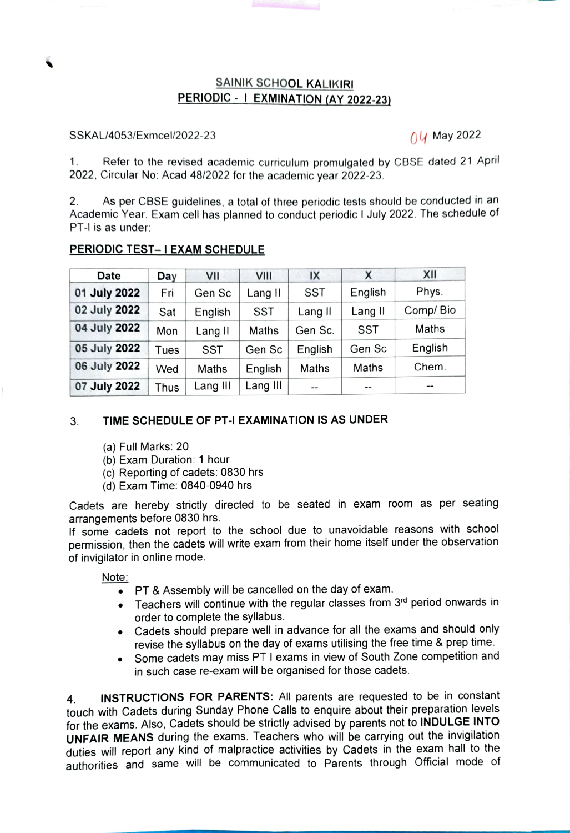## SAINIK SCHOOL KALIKIRI PERIODIC - I EXMINATION (AY 2022-23)

## SSKAL/4053/Exmcel/2022-23 Oy May 2022

Refer to the revised academic curriculum promulgated by CBSE dated 21 April 2022, Circular No: Acad 48/2022 for the academic year 2022-23. 1.

As per CBSE guidelines, a total of three periodic tests should be conducted in an Academic Year. Exam cell has planned to conduct periodic I July 2022. The schedule of PT-I is as under: 2.

|  | PERIODIC TEST-I EXAM SCHEDULE |
|--|-------------------------------|
|  |                               |

| Date         | Day  | VII      | VIII         | IX           | x       | XII       |
|--------------|------|----------|--------------|--------------|---------|-----------|
| 01 July 2022 | Fri  | Gen Sc   | Lang II      | SST          | English | Phys.     |
| 02 July 2022 | Sat  | English  | SST          | Lang II      | Lang II | Comp/ Bio |
| 04 July 2022 | Mon  | Lang II  | <b>Maths</b> | Gen Sc.      | SST     | Maths     |
| 05 July 2022 | Tues | SST      | Gen Sc       | English      | Gen Sc  | English   |
| 06 July 2022 | Wed  | Maths    | English      | <b>Maths</b> | Maths   | Chem.     |
| 07 July 2022 | Thus | Lang III | Lang III     | $- -$        | $-$     | $- -$     |

## 3. TIME SCHEDULE OF PT-I EXAMINATION IS AS UNDER

- (a) Full Marks: 20
- (b) Exam Duration: 1 hour
- (c) Repoting of cadets: 0830 hrs
- (d) Exam Time: 0840-0940 hrs

Cadets are hereby strictly directed to be seated in exam room as per seating arrangements before 0830 hrs.

If some cadets not report to the school due to unavoidable reasons with school permission, then the cadets will write exam from their home itself under the observation of invigilator in online mode.

Note:

- PT & Assembly will be cancelled on the day of exam.
- $\bullet$  Teachers will continue with the regular classes from  $3<sup>rd</sup>$  period onwards in order to complete the syllabus.
- Cadets should prepare well in advance for all the exams and should only revise the syllabus on the day of exams utilising the free time & prep time.
- Some cadets may miss PT I exams in view of South Zone competition and in such case re-exam will be organised for those cadets.

4 touch with Cadets during Sunday Phone Calls to enquire about their preparation levels INSTRUCTIONS FOR PARENTS: All parents are requested to be in constant for the exams. Also, Cadets should be strictly advised by parents not to INDULGE INTO UNFAIR MEANS during the exams. Teachers who will be carrying out the invigilation duties will report any kind of malpractice activities by Cadets in the exam hall to the authorities and same will be communicated to Parents through Official mode of